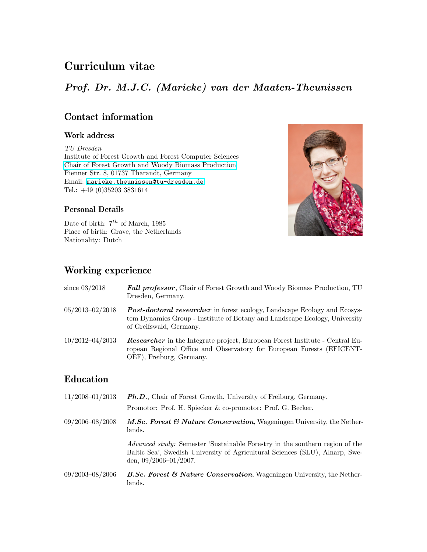# Curriculum vitae

# Prof. Dr. M.J.C. (Marieke) van der Maaten-Theunissen

## Contact information

#### Work address

TU Dresden Institute of Forest Growth and Forest Computer Sciences [Chair of Forest Growth and Woody Biomass Production](https://tu-dresden.de/bu/umwelt/forst/ww/waldwachstum?set_language=en) Pienner Str. 8, 01737 Tharandt, Germany Email: [marieke.theunissen@tu-dresden.de](mailto:marieke.theunissen@tu-dresden.de) Tel.: +49 (0)35203 3831614



Date of birth:  $7<sup>th</sup>$  of March, 1985 Place of birth: Grave, the Netherlands Nationality: Dutch

# Working experience

| since $03/2018$     | <b>Full professor</b> , Chair of Forest Growth and Woody Biomass Production, TU<br>Dresden, Germany.                                                                                      |
|---------------------|-------------------------------------------------------------------------------------------------------------------------------------------------------------------------------------------|
| $05/2013 - 02/2018$ | <b>Post-doctoral researcher</b> in forest ecology, Landscape Ecology and Ecosys-<br>tem Dynamics Group - Institute of Botany and Landscape Ecology, University<br>of Greifswald, Germany. |
| $10/2012 - 04/2013$ | <b>Researcher</b> in the Integrate project, European Forest Institute - Central Eu-<br>ropean Regional Office and Observatory for European Forests (EFICENT-<br>OEF), Freiburg, Germany.  |
| <b>Education</b>    |                                                                                                                                                                                           |
| $11/2008 - 01/2013$ | <b>Ph.D.</b> , Chair of Forest Growth, University of Freiburg, Germany.<br>Promotor: Prof. H. Spiecker & co-promotor: Prof. G. Becker.                                                    |
|                     |                                                                                                                                                                                           |

09/2006–08/2008 M.Sc. Forest & Nature Conservation, Wageningen University, the Netherlands.

> Advanced study: Semester 'Sustainable Forestry in the southern region of the Baltic Sea', Swedish University of Agricultural Sciences (SLU), Alnarp, Sweden, 09/2006–01/2007.

 $09/2003-08/2006$  B.Sc. Forest & Nature Conservation, Wageningen University, the Netherlands.

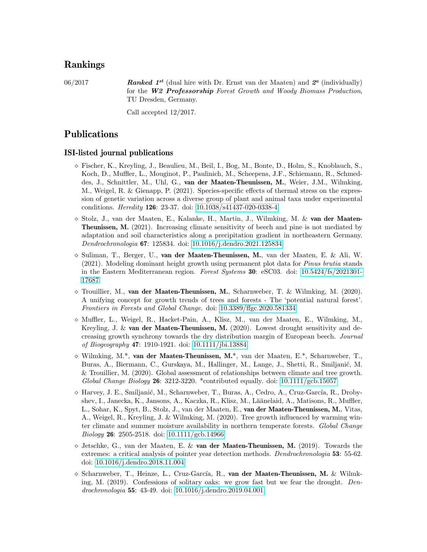## Rankings

06/2017 **Ranked 1<sup>st</sup>** (dual hire with Dr. Ernst van der Maaten) and  $2^a$  (individually) for the W2 Professorship Forest Growth and Woody Biomass Production, TU Dresden, Germany.

Call accepted 12/2017.

## Publications

#### ISI-listed journal publications

- $\circ$  Fischer, K., Kreyling, J., Beaulieu, M., Beil, I., Bog, M., Bonte, D., Holm, S., Knoblauch, S., Koch, D., Muffler, L., Mouginot, P., Paulinich, M., Scheepens, J.F., Schiemann, R., Schmeddes, J., Schnittler, M., Uhl, G., van der Maaten-Theunissen, M., Weier, J.M., Wilmking, M., Weigel, R. & Gienapp, P. (2021). Species-specific effects of thermal stress on the expression of genetic variation across a diverse group of plant and animal taxa under experimental conditions. Heredity 126: 23-37. doi: [10.1038/s41437-020-0338-4](https://doi.org/10.1038/s41437-020-0338-4)
- $\circ$  Stolz, J., van der Maaten, E., Kalanke, H., Martin, J., Wilmking, M. & van der Maaten-Theunissen, M. (2021). Increasing climate sensitivity of beech and pine is not mediated by adaptation and soil characteristics along a precipitation gradient in northeastern Germany. Dendrochronologia 67: 125834. doi: [10.1016/j.dendro.2021.125834](https://doi.org/10.1016/j.dendro.2021.125834)
- $\circ$  Suliman, T., Berger, U., van der Maaten-Theunissen, M., van der Maaten, E. & Ali, W. (2021). Modeling dominant height growth using permanent plot data for Pinus brutia stands in the Eastern Mediterranean region. Forest Systems 30: eSC03. doi: [10.5424/fs/2021301-](https://doi.org/10.5424/fs/2021301-17687) [17687](https://doi.org/10.5424/fs/2021301-17687)
- $\Diamond$  Trouillier, M., van der Maaten-Theunissen, M., Scharnweber, T. & Wilmking, M. (2020). A unifying concept for growth trends of trees and forests - The 'potential natural forest'. Frontiers in Forests and Global Change. doi: [10.3389/ffgc.2020.581334](https://doi.org/10.3389/ffgc.2020.581334)
- $\Diamond$  Muffler, L., Weigel, R., Hacket-Pain, A., Klisz, M., van der Maaten, E., Wilmking, M., Kreyling, J. & van der Maaten-Theunissen, M. (2020). Lowest drought sensitivity and decreasing growth synchrony towards the dry distribution margin of European beech. Journal of Biogeography 47: 1910-1921. doi: [10.1111/jbi.13884](https://doi.org/10.1111/jbi.13884)
- $\Diamond$  Wilmking, M.\*, van der Maaten-Theunissen, M.\*, van der Maaten, E.\*, Scharnweber, T., Buras, A., Biermann, C., Gurskaya, M., Hallinger, M., Lange, J., Shetti, R., Smiljanić, M. & Trouillier, M. (2020). Global assessment of relationships between climate and tree growth. Global Change Biology 26: 3212-3220. \*contributed equally. doi:  $10.1111/\text{gcb}.15057$
- $\Diamond$  Harvey, J. E., Smiljanić, M., Scharnweber, T., Buras, A., Cedro, A., Cruz-García, R., Drobyshev, I., Janecka, K., Jansons, A., Kaczka, R., Klisz, M., Läänelaid, A., Matisons, R., Muffler, L., Sohar, K., Spyt, B., Stolz, J., van der Maaten, E., van der Maaten-Theunissen, M., Vitas, A., Weigel, R., Kreyling, J. & Wilmking, M. (2020). Tree growth influenced by warming winter climate and summer moisture availability in northern temperate forests. Global Change Biology 26: 2505-2518. doi: [10.1111/gcb.14966](https://doi.org/10.1111/gcb.14966)
- $\Diamond$  Jetschke, G., van der Maaten, E. & van der Maaten-Theunissen, M. (2019). Towards the extremes: a critical analysis of pointer year detection methods. Dendrochronologia **53**: 55-62. doi: [10.1016/j.dendro.2018.11.004](https://doi.org/10.1016/j.dendro.2018.11.004)
- $\circ$  Scharnweber, T., Heinze, L., Cruz-García, R., van der Maaten-Theunissen, M. & Wilmking, M. (2019). Confessions of solitary oaks: we grow fast but we fear the drought. Dendrochronologia 55: 43-49. doi: [10.1016/j.dendro.2019.04.001](https://doi.org/10.1016/j.dendro.2019.04.001)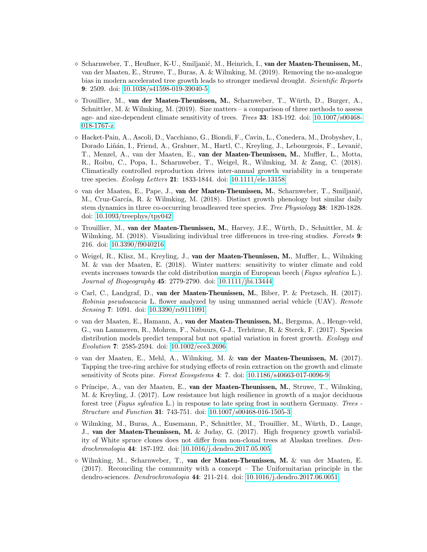- $\Diamond$  Scharnweber, T., Heußner, K-U., Smiljanić, M., Heinrich, I., van der Maaten-Theunissen, M., van der Maaten, E., Struwe, T., Buras, A. & Wilmking, M. (2019). Removing the no-analogue bias in modern accelerated tree growth leads to stronger medieval drought. Scientific Reports 9: 2509. doi: [10.1038/s41598-019-39040-5](https://doi.org/10.1038/s41598-019-39040-5)
- $\Diamond$  Trouillier, M., van der Maaten-Theunissen, M., Scharnweber, T., Würth, D., Burger, A., Schnittler, M. & Wilmking, M. (2019). Size matters – a comparison of three methods to assess age- and size-dependent climate sensitivity of trees. Trees 33: 183-192. doi: [10.1007/s00468-](https://doi.org/10.1007/s00468-018-1767-z) [018-1767-z](https://doi.org/10.1007/s00468-018-1767-z)
- Hacket-Pain, A., Ascoli, D., Vacchiano, G., Biondi, F., Cavin, L., Conedera, M., Drobyshev, I., Dorado Liñán, I., Friend, A., Grabner, M., Hartl, C., Kreyling, J., Lebourgeois, F., Levanič, T., Menzel, A., van der Maaten, E., van der Maaten-Theunissen, M., Muffler, L., Motta, R., Roibu, C., Popa, I., Scharnweber, T., Weigel, R., Wilmking, M. & Zang, C. (2018). Climatically controlled reproduction drives inter-annual growth variability in a temperate tree species. Ecology Letters 21: 1833-1844. doi: [10.1111/ele.13158](https://doi.org/10.1111/ele.13158)
- $\circ$  van der Maaten, E., Pape, J., van der Maaten-Theunissen, M., Scharnweber, T., Smiljanić, M., Cruz-García, R. & Wilmking, M. (2018). Distinct growth phenology but similar daily stem dynamics in three co-occurring broadleaved tree species. Tree Physiology 38: 1820-1828. doi: [10.1093/treephys/tpy042](https://doi.org/10.1093/treephys/tpy042)
- $\circ$  Trouillier, M., van der Maaten-Theunissen, M., Harvey, J.E., Würth, D., Schnittler, M. & Wilmking, M. (2018). Visualizing individual tree differences in tree-ring studies. Forests 9: 216. doi: [10.3390/f9040216](https://doi.org/10.3390/f9040216)
- $\diamond$  Weigel, R., Klisz, M., Kreyling, J., van der Maaten-Theunissen, M., Muffler, L., Wilmking M. & van der Maaten, E. (2018). Winter matters: sensitivity to winter climate and cold events increases towards the cold distribution margin of European beech (Fagus sylvatica L.). Journal of Biogeography 45: 2779-2790. doi: [10.1111/jbi.13444](https://doi.org/10.1111/jbi.13444)
- $\circ$  Carl, C., Landgraf, D., van der Maaten-Theunissen, M., Biber, P. & Pretzsch, H. (2017). Robinia pseudoacacia L. flower analyzed by using unmanned aerial vehicle (UAV). Remote Sensing 7: 1091. doi: [10.3390/rs9111091](https://doi.org/10.3390/rs9111091)
- $\Diamond$  van der Maaten, E., Hamann, A., van der Maaten-Theunissen, M., Bergsma, A., Henge-veld, G., van Lammeren, R., Mohren, F., Nabuurs, G-J., Terhürne, R. & Sterck, F. (2017). Species distribution models predict temporal but not spatial variation in forest growth. Ecology and Evolution 7: 2585-2594. doi: [10.1002/ece3.2696](https://doi.org/10.1002/ece3.2696)
- $\Diamond$  van der Maaten, E., Mehl, A., Wilmking, M. & van der Maaten-Theunissen, M. (2017). Tapping the tree-ring archive for studying effects of resin extraction on the growth and climate sensitivity of Scots pine. Forest Ecosystems 4: 7. doi: [10.1186/s40663-017-0096-9](https://doi.org/10.1186/s40663-017-0096-9)
- $\Diamond$  Príncipe, A., van der Maaten, E., van der Maaten-Theunissen, M., Struwe, T., Wilmking, M. & Kreyling, J. (2017). Low resistance but high resilience in growth of a major deciduous forest tree (Fagus sylvatica L.) in response to late spring frost in southern Germany. Trees - Structure and Function 31: 743-751. doi: [10.1007/s00468-016-1505-3](https://doi.org/10.1007/s00468-016-1505-3)
- $\Diamond$  Wilmking, M., Buras, A., Eusemann, P., Schnittler, M., Trouillier, M., Würth, D., Lange, J., van der Maaten-Theunissen, M. & Juday, G. (2017). High frequency growth variability of White spruce clones does not differ from non-clonal trees at Alaskan treelines. Dendrochronologia 44: 187-192. doi: [10.1016/j.dendro.2017.05.005](https://doi.org/10.1016/j.dendro.2017.05.005)
- $\Diamond$  Wilmking, M., Scharnweber, T., van der Maaten-Theunissen, M. & van der Maaten, E. (2017). Reconciling the community with a concept – The Uniformitarian principle in the dendro-sciences. Dendrochronologia 44: 211-214. doi: [10.1016/j.dendro.2017.06.0051](https://doi.org/10.1016/j.dendro.2017.06.005)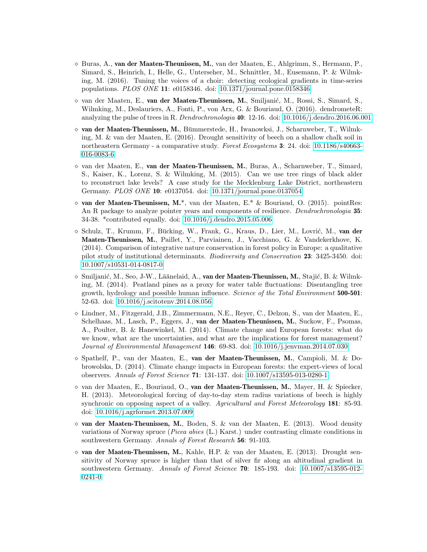- $\Diamond$  Buras, A., van der Maaten-Theunissen, M., van der Maaten, E., Ahlgrimm, S., Hermann, P., Simard, S., Heinrich, I., Helle, G., Unterseher, M., Schnittler, M., Eusemann, P. & Wilmking, M. (2016). Tuning the voices of a choir: detecting ecological gradients in time-series populations. PLOS ONE 11: e0158346. doi: [10.1371/journal.pone.0158346](https://doi.org/10.1371/journal.pone.0158346)
- $\Diamond$  van der Maaten, E., van der Maaten-Theunissen, M., Smiljanić, M., Rossi, S., Simard, S., Wilmking, M., Deslauriers, A., Fonti, P., von Arx, G. & Bouriaud, O. (2016). dendrometeR: analyzing the pulse of trees in R. Dendrochronologia 40: 12-16. doi: [10.1016/j.dendro.2016.06.001](https://doi.org/10.1016/j.dendro.2016.06.001)
- $\Diamond$  van der Maaten-Theunissen, M., Bümmerstede, H., Iwanowksi, J., Scharnweber, T., Wilmking, M. & van der Maaten, E. (2016). Drought sensitivity of beech on a shallow chalk soil in northeastern Germany - a comparative study. Forest Ecosystems 3: 24. doi: [10.1186/s40663-](https://doi.org/10.1186/s40663-016-0083-6) [016-0083-6](https://doi.org/10.1186/s40663-016-0083-6)
- $\Diamond$  van der Maaten, E., van der Maaten-Theunissen, M., Buras, A., Scharnweber, T., Simard, S., Kaiser, K., Lorenz, S. & Wilmking, M. (2015). Can we use tree rings of black alder to reconstruct lake levels? A case study for the Mecklenburg Lake District, northeastern Germany. PLOS ONE 10: e0137054. doi: [10.1371/journal.pone.0137054](https://doi.org/10.1371/journal.pone.0137054)
- $\circ$  van der Maaten-Theunissen, M.\*, van der Maaten, E.\* & Bouriaud, O. (2015). pointRes: An R package to analyze pointer years and components of resilience. *Dendrochronologia* 35: 34-38. \*contributed equally. doi: [10.1016/j.dendro.2015.05.006](https://doi.org/10.1016/j.dendro.2015.05.006)
- $\infty$  Schulz, T., Krumm, F., Bücking, W., Frank, G., Kraus, D., Lier, M., Lovrić, M., van der Maaten-Theunissen, M., Paillet, Y., Parviainen, J., Vacchiano, G. & Vandekerkhove, K. (2014). Comparison of integrative nature conservation in forest policy in Europe: a qualitative pilot study of institutional determinants. Biodiversity and Conservation 23: 3425-3450. doi: [10.1007/s10531-014-0817-0](https://doi.org/10.1007/s10531-014-0817-0)
- $\Diamond$  Smiljanić, M., Seo, J-W., Läänelaid, A., van der Maaten-Theunissen, M., Stajić, B. & Wilmking, M. (2014). Peatland pines as a proxy for water table fluctuations: Disentangling tree growth, hydrology and possible human influence. Science of the Total Environment 500-501: 52-63. doi: [10.1016/j.scitotenv.2014.08.056](https://doi.org/10.1016/j.scitotenv.2014.08.056)
- $\circ$  Lindner, M., Fitzgerald, J.B., Zimmermann, N.E., Reyer, C., Delzon, S., van der Maaten, E., Schelhaas, M., Lasch, P., Eggers, J., van der Maaten-Theunissen, M., Suckow, F., Psomas, A., Poulter, B. & Hanewinkel, M. (2014). Climate change and European forests: what do we know, what are the uncertainties, and what are the implications for forest management? Journal of Environmental Management 146: 69-83. doi: [10.1016/j.jenvman.2014.07.030](https://doi.org/10.1016/j.jenvman.2014.07.030)
- $\infty$  Spathelf, P., van der Maaten, E., van der Maaten-Theunissen, M., Campioli, M. & Dobrowolska, D. (2014). Climate change impacts in European forests: the expert-views of local observers. Annals of Forest Science 71: 131-137. doi: [10.1007/s13595-013-0280-1](https://doi.org/10.1007/s13595-013-0280-1)
- $\circ$  van der Maaten, E., Bouriaud, O., van der Maaten-Theunissen, M., Mayer, H. & Spiecker, H. (2013). Meteorological forcing of day-to-day stem radius variations of beech is highly synchronic on opposing aspect of a valley. Agricultural and Forest Meteorology 181: 85-93. doi: [10.1016/j.agrformet.2013.07.009](https://doi.org/10.1016/j.agrformet.2013.07.009)
- $\circ$  van der Maaten-Theunissen, M., Boden, S. & van der Maaten, E. (2013). Wood density variations of Norway spruce (Picea abies (L.) Karst.) under contrasting climate conditions in southwestern Germany. Annals of Forest Research 56: 91-103.
- $\circ$  van der Maaten-Theunissen, M., Kahle, H.P. & van der Maaten, E. (2013). Drought sensitivity of Norway spruce is higher than that of silver fir along an altitudinal gradient in southwestern Germany. Annals of Forest Science 70: 185-193. doi: [10.1007/s13595-012-](https://doi.org/10.1007/s13595-012-0241-0) [0241-0](https://doi.org/10.1007/s13595-012-0241-0)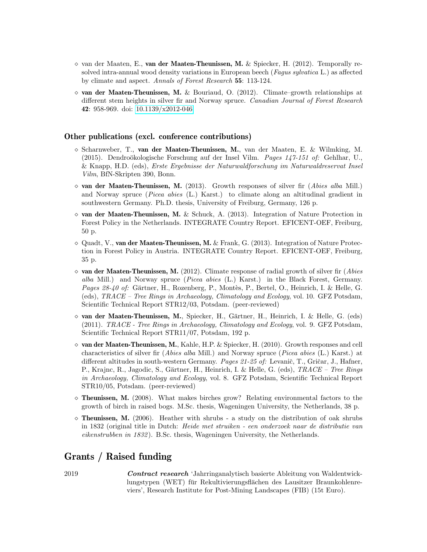- $\circ$  van der Maaten, E., van der Maaten-Theunissen, M. & Spiecker, H. (2012). Temporally resolved intra-annual wood density variations in European beech (Fagus sylvatica L.) as affected by climate and aspect. Annals of Forest Research 55: 113-124.
- $\Diamond$  van der Maaten-Theunissen, M. & Bouriaud, O. (2012). Climate–growth relationships at different stem heights in silver fir and Norway spruce. Canadian Journal of Forest Research 42: 958-969. doi: [10.1139/x2012-046](https://doi.org/10.1139/x2012-046)

#### Other publications (excl. conference contributions)

- $\circ$  Scharnweber, T., van der Maaten-Theunissen, M., van der Maaten, E. & Wilmking, M. (2015). Dendroökologische Forschung auf der Insel Vilm. Pages  $147-151$  of: Gehlhar, U., & Knapp, H.D. (eds), Erste Ergebnisse der Naturwaldforschung im Naturwaldreservat Insel Vilm, BfN-Skripten 390, Bonn.
- $\Diamond$  van der Maaten-Theunissen, M. (2013). Growth responses of silver fir (Abies alba Mill.) and Norway spruce (Picea abies (L.) Karst.) to climate along an altitudinal gradient in southwestern Germany. Ph.D. thesis, University of Freiburg, Germany, 126 p.
- $\Diamond$  van der Maaten-Theunissen, M. & Schuck, A. (2013). Integration of Nature Protection in Forest Policy in the Netherlands. INTEGRATE Country Report. EFICENT-OEF, Freiburg, 50 p.
- $\Diamond$  Quadt, V., van der Maaten-Theunissen, M. & Frank, G. (2013). Integration of Nature Protection in Forest Policy in Austria. INTEGRATE Country Report. EFICENT-OEF, Freiburg, 35 p.
- $\circ$  van der Maaten-Theunissen, M. (2012). Climate response of radial growth of silver fir (Abies alba Mill.) and Norway spruce (Picea abies (L.) Karst.) in the Black Forest, Germany. Pages 28-40 of: Gärtner, H., Rozenberg, P., Montès, P., Bertel, O., Heinrich, I. & Helle, G. (eds), TRACE – Tree Rings in Archaeology, Climatology and Ecology, vol. 10. GFZ Potsdam, Scientific Technical Report STR12/03, Potsdam. (peer-reviewed)
- $\circ$  van der Maaten-Theunissen, M., Spiecker, H., Gärtner, H., Heinrich, I. & Helle, G. (eds) (2011). TRACE - Tree Rings in Archaeology, Climatology and Ecology, vol. 9. GFZ Potsdam, Scientific Technical Report STR11/07, Potsdam, 192 p.
- $\Diamond$  van der Maaten-Theunissen, M., Kahle, H.P. & Spiecker, H. (2010). Growth responses and cell characteristics of silver fir (Abies alba Mill.) and Norway spruce (Picea abies (L.) Karst.) at different altitudes in south-western Germany. Pages 21-25 of: Levanič, T., Gričar, J., Hafner, P., Krajnc, R., Jagodic, S., Gärtner, H., Heinrich, I. & Helle, G. (eds), TRACE – Tree Rings in Archaeology, Climatology and Ecology, vol. 8. GFZ Potsdam, Scientific Technical Report STR10/05, Potsdam. (peer-reviewed)
- $\circ$  Theunissen, M. (2008). What makes birches grow? Relating environmental factors to the growth of birch in raised bogs. M.Sc. thesis, Wageningen University, the Netherlands, 38 p.
- $\Diamond$  Theunissen, M. (2006). Heather with shrubs a study on the distribution of oak shrubs in 1832 (original title in Dutch: Heide met struiken - een onderzoek naar de distributie van eikenstrubben in 1832 ). B.Sc. thesis, Wageningen University, the Netherlands.

### Grants / Raised funding

2019 Contract research 'Jahrringanalytisch basierte Ableitung von Waldentwicklungstypen (WET) für Rekultivierungsflächen des Lausitzer Braunkohlenreviers', Research Institute for Post-Mining Landscapes (FIB) (15t Euro).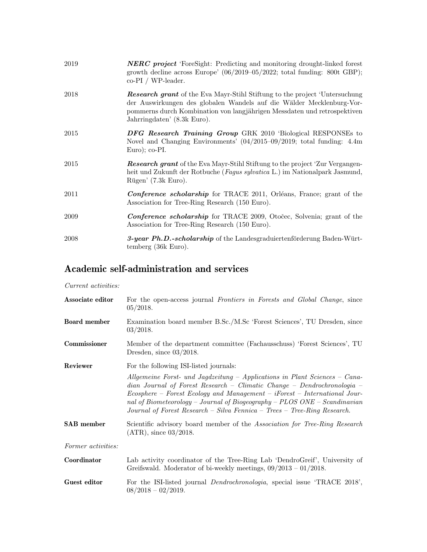| 2019 | <b>NERC</b> project 'ForeSight: Predicting and monitoring drought-linked forest<br>growth decline across Europe' $(06/2019-05/2022$ ; total funding: 800t GBP);<br>co-PI / WP-leader.                                                                                  |
|------|------------------------------------------------------------------------------------------------------------------------------------------------------------------------------------------------------------------------------------------------------------------------|
| 2018 | <b>Research grant</b> of the Eva Mayr-Stihl Stiftung to the project 'Untersuchung'<br>der Auswirkungen des globalen Wandels auf die Wälder Mecklenburg-Vor-<br>pommerns durch Kombination von langjährigen Messdaten und retrospektiven<br>Jahrringdaten' (8.3k Euro). |
| 2015 | <b>DFG</b> Research Training Group GRK 2010 'Biological RESPONSEs to<br>Novel and Changing Environments' $(04/2015-09/2019$ ; total funding: 4.4m<br>$Euro$ ; co-PI.                                                                                                   |
| 2015 | <b>Research grant</b> of the Eva Mayr-Stihl Stiftung to the project 'Zur Vergangen-<br>heit und Zukunft der Rotbuche (Fagus sylvatica L.) im Nationalpark Jasmund,<br>Rügen' (7.3k Euro).                                                                              |
| 2011 | <b>Conference scholarship</b> for TRACE 2011, Orléans, France; grant of the<br>Association for Tree-Ring Research (150 Euro).                                                                                                                                          |
| 2009 | <b>Conference scholarship</b> for TRACE 2009, Otočec, Solvenia; grant of the<br>Association for Tree-Ring Research (150 Euro).                                                                                                                                         |
| 2008 | 3-year Ph.D.-scholarship of the Landesgraduiertenförderung Baden-Würt-<br>temberg (36k Euro).                                                                                                                                                                          |

# Academic self-administration and services

#### Current activities:

| Associate editor    | For the open-access journal Frontiers in Forests and Global Change, since<br>05/2018.                                                                                                                                                                                                                                                                                                                   |
|---------------------|---------------------------------------------------------------------------------------------------------------------------------------------------------------------------------------------------------------------------------------------------------------------------------------------------------------------------------------------------------------------------------------------------------|
| <b>Board</b> member | Examination board member B.Sc./M.Sc 'Forest Sciences', TU Dresden, since<br>03/2018.                                                                                                                                                                                                                                                                                                                    |
| Commissioner        | Member of the department committee (Fachausschuss) 'Forest Sciences', TU<br>Dresden, since $03/2018$ .                                                                                                                                                                                                                                                                                                  |
| Reviewer            | For the following ISI-listed journals:                                                                                                                                                                                                                                                                                                                                                                  |
|                     | $\it Allgemeine$ Forst- und Jagdzeitung – Applications in Plant Sciences – Cana-<br>$dian$ Journal of Forest Research – Climatic Change – Dendrochronologia –<br>$Ecosphere$ – Forest Ecology and Management – iForest – International Jour-<br>nal of Biometeorology – Journal of Biogeography – $PLOS$ ONE – Scandinavian<br>Journal of Forest Research – Silva Fennica – Trees – Tree-Ring Research. |
| <b>SAB</b> member   | Scientific advisory board member of the Association for Tree-Ring Research<br>$(ATR)$ , since 03/2018.                                                                                                                                                                                                                                                                                                  |
| Former activities:  |                                                                                                                                                                                                                                                                                                                                                                                                         |
| Coordinator         | Lab activity coordinator of the Tree-Ring Lab 'DendroGreif', University of<br>Greifswald. Moderator of bi-weekly meetings, $09/2013 - 01/2018$ .                                                                                                                                                                                                                                                        |
| Guest editor        | For the ISI-listed journal <i>Dendrochronologia</i> , special issue 'TRACE 2018',<br>$08/2018 - 02/2019.$                                                                                                                                                                                                                                                                                               |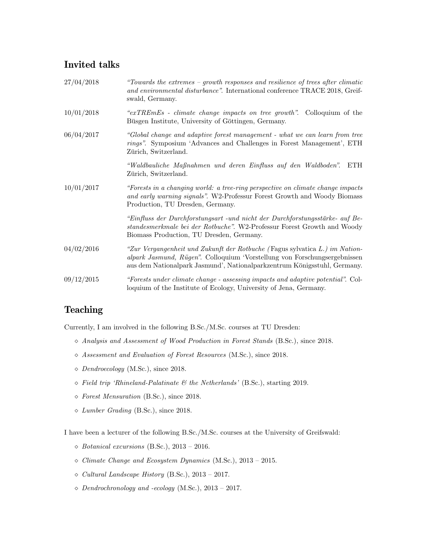## Invited talks

| 27/04/2018 | "Towards the extremes - growth responses and resilience of trees after climatic<br>and environmental disturbance". International conference TRACE 2018, Greif-<br>swald, Germany.                                                    |
|------------|--------------------------------------------------------------------------------------------------------------------------------------------------------------------------------------------------------------------------------------|
| 10/01/2018 | " $exTREmEs$ - climate change impacts on tree growth". Colloquium of the<br>Büsgen Institute, University of Göttingen, Germany.                                                                                                      |
| 06/04/2017 | "Global change and adaptive forest management - what we can learn from tree<br>rings". Symposium 'Advances and Challenges in Forest Management', ETH<br>Zürich, Switzerland.                                                         |
|            | "Waldbauliche Maßnahmen und deren Einfluss auf den Waldboden".<br>ETH<br>Zürich, Switzerland.                                                                                                                                        |
| 10/01/2017 | "Forests in a changing world: a tree-ring perspective on climate change impacts<br>and early warning signals". W2-Professur Forest Growth and Woody Biomass<br>Production, TU Dresden, Germany.                                      |
|            | "Einfluss der Durchforstungsart - und nicht der Durchforstungsstärke- auf Be-<br>standesmerkmale bei der Rotbuche". W2-Professur Forest Growth and Woody<br>Biomass Production, TU Dresden, Germany.                                 |
| 04/02/2016 | "Zur Vergangenheit und Zukunft der Rotbuche (Fagus sylvatica L.) im Nation-<br>alpark Jasmund, Rügen". Colloquium 'Vorstellung von Forschungsergebnissen<br>aus dem Nationalpark Jasmund', Nationalparkzentrum Königsstuhl, Germany. |
| 09/12/2015 | "Forests under climate change - assessing impacts and adaptive potential". Col-<br>loquium of the Institute of Ecology, University of Jena, Germany.                                                                                 |

# Teaching

Currently, I am involved in the following B.Sc./M.Sc. courses at TU Dresden:

- Analysis and Assessment of Wood Production in Forest Stands (B.Sc.), since 2018.
- Assessment and Evaluation of Forest Resources (M.Sc.), since 2018.
- $\Diamond$  Dendroecology (M.Sc.), since 2018.
- $\Diamond$  Field trip 'Rhineland-Palatinate & the Netherlands' (B.Sc.), starting 2019.
- Forest Mensuration (B.Sc.), since 2018.
- Lumber Grading (B.Sc.), since 2018.

I have been a lecturer of the following B.Sc./M.Sc. courses at the University of Greifswald:

- $\Diamond$  Botanical excursions (B.Sc.), 2013 2016.
- $\Diamond$  Climate Change and Ecosystem Dynamics (M.Sc.), 2013 2015.
- $\Diamond$  Cultural Landscape History (B.Sc.), 2013 2017.
- $\Diamond$  Dendrochronology and -ecology (M.Sc.), 2013 2017.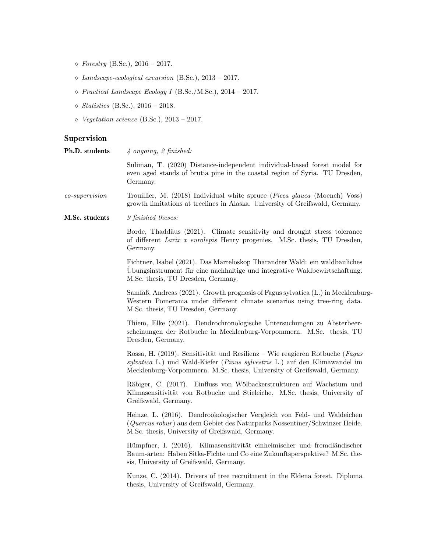- $\diamond\ \textit{Forestry}$  (B.Sc.), 2016 2017.
- $\Diamond$  Landscape-ecological excursion (B.Sc.), 2013 2017.
- $\diamond~Practical~Landscape~Ecology~I~(B.Sc./M.Sc.),~2014$  2017.
- $\Diamond$  Statistics (B.Sc.), 2016 2018.
- $\diamond$  Vegetation science (B.Sc.), 2013 2017.

#### Supervision

| Ph.D. students   | $\frac{1}{4}$ ongoing, 2 finished:                                                                                                                                                                                                     |
|------------------|----------------------------------------------------------------------------------------------------------------------------------------------------------------------------------------------------------------------------------------|
|                  | Suliman, T. (2020) Distance-independent individual-based forest model for<br>even aged stands of brutia pine in the coastal region of Syria. TU Dresden,<br>Germany.                                                                   |
| $co-supervision$ | Trouillier, M. (2018) Individual white spruce ( <i>Picea glauca</i> (Moench) Voss)<br>growth limitations at treelines in Alaska. University of Greifswald, Germany.                                                                    |
| M.Sc. students   | 9 finished theses:                                                                                                                                                                                                                     |
|                  | Borde, Thaddäus (2021). Climate sensitivity and drought stress tolerance<br>of different Larix x eurolepis Henry progenies. M.Sc. thesis, TU Dresden,<br>Germany.                                                                      |
|                  | Fichtner, Isabel (2021). Das Marteloskop Tharandter Wald: ein waldbauliches<br>Übungsinstrument für eine nachhaltige und integrative Waldbewirtschaftung.<br>M.Sc. thesis, TU Dresden, Germany.                                        |
|                  | Samfaß, Andreas (2021). Growth prognosis of Fagus sylvatica (L.) in Mecklenburg-<br>Western Pomerania under different climate scenarios using tree-ring data.<br>M.Sc. thesis, TU Dresden, Germany.                                    |
|                  | Thiem, Elke (2021). Dendrochronologische Untersuchungen zu Absterbeer-<br>scheinungen der Rotbuche in Mecklenburg-Vorpommern. M.Sc. thesis, TU<br>Dresden, Germany.                                                                    |
|                  | Rossa, H. (2019). Sensitivität und Resilienz – Wie reagieren Rotbuche (Fagus<br>sylvatica L.) und Wald-Kiefer (Pinus sylvestris L.) auf den Klimawandel im<br>Mecklenburg-Vorpommern. M.Sc. thesis, University of Greifswald, Germany. |
|                  | Räbiger, C. (2017). Einfluss von Wölbackerstrukturen auf Wachstum und<br>Klimasensitivität von Rotbuche und Stieleiche. M.Sc. thesis, University of<br>Greifswald, Germany.                                                            |
|                  | Heinze, L. (2016). Dendroökologischer Vergleich von Feld- und Waldeichen<br>(Quercus robur) aus dem Gebiet des Naturparks Nossentiner/Schwinzer Heide.<br>M.Sc. thesis, University of Greifswald, Germany.                             |
|                  | Hümpfner, I. (2016). Klimasensitivität einheimischer und fremdländischer<br>Baum-arten: Haben Sitka-Fichte und Co eine Zukunftsperspektive? M.Sc. the-<br>sis, University of Greifswald, Germany.                                      |
|                  | Kunze, C. (2014). Drivers of tree recruitment in the Eldena forest. Diploma<br>thesis, University of Greifswald, Germany.                                                                                                              |
|                  |                                                                                                                                                                                                                                        |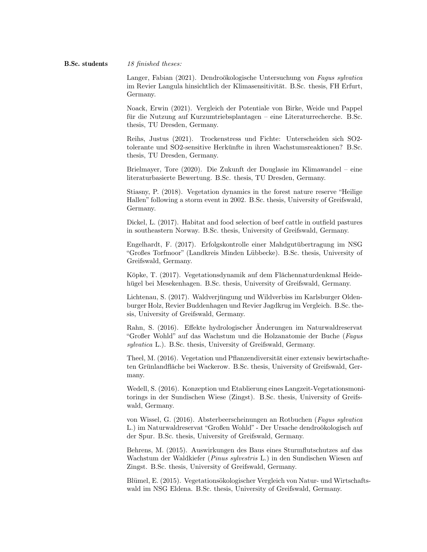Langer, Fabian (2021). Dendroökologische Untersuchung von Fagus sylvatica im Revier Langula hinsichtlich der Klimasensitivität. B.Sc. thesis, FH Erfurt, Germany.

Noack, Erwin (2021). Vergleich der Potentiale von Birke, Weide und Pappel für die Nutzung auf Kurzumtriebsplantagen – eine Literaturrecherche. B.Sc. thesis, TU Dresden, Germany.

Reihs, Justus (2021). Trockenstress und Fichte: Unterscheiden sich SO2 tolerante und SO2-sensitive Herkunfte in ihren Wachstumsreaktionen? B.Sc. ¨ thesis, TU Dresden, Germany.

Brielmayer, Tore (2020). Die Zukunft der Douglasie im Klimawandel – eine literaturbasierte Bewertung. B.Sc. thesis, TU Dresden, Germany.

Stiasny, P. (2018). Vegetation dynamics in the forest nature reserve "Heilige Hallen" following a storm event in 2002. B.Sc. thesis, University of Greifswald, Germany.

Dickel, L. (2017). Habitat and food selection of beef cattle in outfield pastures in southeastern Norway. B.Sc. thesis, University of Greifswald, Germany.

Engelhardt, F. (2017). Erfolgskontrolle einer Mahdgutubertragung im NSG ¨ "Großes Torfmoor" (Landkreis Minden Lubbecke). B.Sc. thesis, University of ¨ Greifswald, Germany.

Köpke, T. (2017). Vegetationsdynamik auf dem Flächennaturdenkmal Heidehügel bei Mesekenhagen. B.Sc. thesis, University of Greifswald, Germany.

Lichtenau, S. (2017). Waldverjüngung und Wildverbiss im Karlsburger Oldenburger Holz, Revier Buddenhagen und Revier Jagdkrug im Vergleich. B.Sc. thesis, University of Greifswald, Germany.

Rahn, S. (2016). Effekte hydrologischer Änderungen im Naturwaldreservat "Großer Wohld" auf das Wachstum und die Holzanatomie der Buche (Fagus sylvatica L.). B.Sc. thesis, University of Greifswald, Germany.

Theel, M. (2016). Vegetation und Pflanzendiversität einer extensiv bewirtschafteten Grünlandfläche bei Wackerow. B.Sc. thesis, University of Greifswald, Germany.

Wedell, S. (2016). Konzeption und Etablierung eines Langzeit-Vegetationsmonitorings in der Sundischen Wiese (Zingst). B.Sc. thesis, University of Greifswald, Germany.

von Wissel, G. (2016). Absterbeerscheinungen an Rotbuchen (Fagus sylvatica L.) im Naturwaldreservat "Großen Wohld" - Der Ursache dendroökologisch auf der Spur. B.Sc. thesis, University of Greifswald, Germany.

Behrens, M. (2015). Auswirkungen des Baus eines Sturmflutschutzes auf das Wachstum der Waldkiefer (Pinus sylvestris L.) in den Sundischen Wiesen auf Zingst. B.Sc. thesis, University of Greifswald, Germany.

Blümel, E. (2015). Vegetations ökologischer Vergleich von Natur- und Wirtschaftswald im NSG Eldena. B.Sc. thesis, University of Greifswald, Germany.